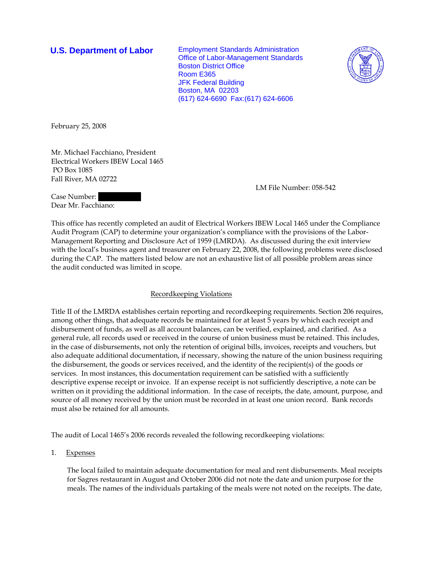**U.S. Department of Labor** Employment Standards Administration Office of Labor-Management Standards Boston District Office Room E365 JFK Federal Building Boston, MA 02203 (617) 624-6690 Fax:(617) 624-6606



February 25, 2008

Mr. Michael Facchiano, President Electrical Workers IBEW Local 1465 PO Box 1085 Fall River, MA 02722

LM File Number: 058-542

Case Number: Dear Mr. Facchiano:

This office has recently completed an audit of Electrical Workers IBEW Local 1465 under the Compliance Audit Program (CAP) to determine your organization's compliance with the provisions of the Labor-Management Reporting and Disclosure Act of 1959 (LMRDA). As discussed during the exit interview with the local's business agent and treasurer on February 22, 2008, the following problems were disclosed during the CAP. The matters listed below are not an exhaustive list of all possible problem areas since the audit conducted was limited in scope.

## Recordkeeping Violations

Title II of the LMRDA establishes certain reporting and recordkeeping requirements. Section 206 requires, among other things, that adequate records be maintained for at least 5 years by which each receipt and disbursement of funds, as well as all account balances, can be verified, explained, and clarified. As a general rule, all records used or received in the course of union business must be retained. This includes, in the case of disbursements, not only the retention of original bills, invoices, receipts and vouchers, but also adequate additional documentation, if necessary, showing the nature of the union business requiring the disbursement, the goods or services received, and the identity of the recipient(s) of the goods or services. In most instances, this documentation requirement can be satisfied with a sufficiently descriptive expense receipt or invoice. If an expense receipt is not sufficiently descriptive, a note can be written on it providing the additional information. In the case of receipts, the date, amount, purpose, and source of all money received by the union must be recorded in at least one union record. Bank records must also be retained for all amounts.

The audit of Local 1465's 2006 records revealed the following recordkeeping violations:

1. Expenses

The local failed to maintain adequate documentation for meal and rent disbursements. Meal receipts for Sagres restaurant in August and October 2006 did not note the date and union purpose for the meals. The names of the individuals partaking of the meals were not noted on the receipts. The date,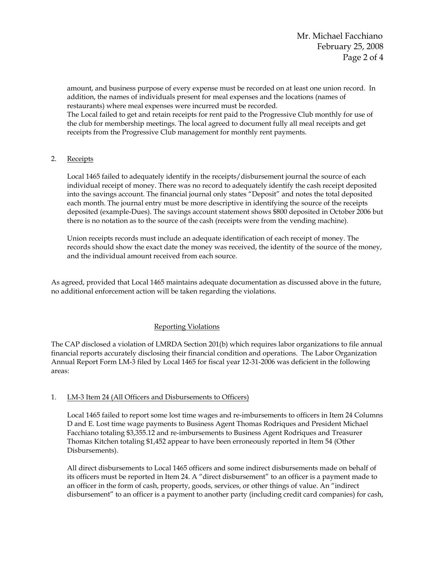amount, and business purpose of every expense must be recorded on at least one union record. In addition, the names of individuals present for meal expenses and the locations (names of restaurants) where meal expenses were incurred must be recorded. The Local failed to get and retain receipts for rent paid to the Progressive Club monthly for use of

the club for membership meetings. The local agreed to document fully all meal receipts and get receipts from the Progressive Club management for monthly rent payments.

# 2. Receipts

Local 1465 failed to adequately identify in the receipts/disbursement journal the source of each individual receipt of money. There was no record to adequately identify the cash receipt deposited into the savings account. The financial journal only states "Deposit" and notes the total deposited each month. The journal entry must be more descriptive in identifying the source of the receipts deposited (example-Dues). The savings account statement shows \$800 deposited in October 2006 but there is no notation as to the source of the cash (receipts were from the vending machine).

Union receipts records must include an adequate identification of each receipt of money. The records should show the exact date the money was received, the identity of the source of the money, and the individual amount received from each source.

As agreed, provided that Local 1465 maintains adequate documentation as discussed above in the future, no additional enforcement action will be taken regarding the violations.

## Reporting Violations

The CAP disclosed a violation of LMRDA Section 201(b) which requires labor organizations to file annual financial reports accurately disclosing their financial condition and operations. The Labor Organization Annual Report Form LM-3 filed by Local 1465 for fiscal year 12-31-2006 was deficient in the following areas:

## 1. LM-3 Item 24 (All Officers and Disbursements to Officers)

Local 1465 failed to report some lost time wages and re-imbursements to officers in Item 24 Columns D and E. Lost time wage payments to Business Agent Thomas Rodriques and President Michael Facchiano totaling \$3,355.12 and re-imbursements to Business Agent Rodriques and Treasurer Thomas Kitchen totaling \$1,452 appear to have been erroneously reported in Item 54 (Other Disbursements).

All direct disbursements to Local 1465 officers and some indirect disbursements made on behalf of its officers must be reported in Item 24. A "direct disbursement" to an officer is a payment made to an officer in the form of cash, property, goods, services, or other things of value. An "indirect disbursement" to an officer is a payment to another party (including credit card companies) for cash,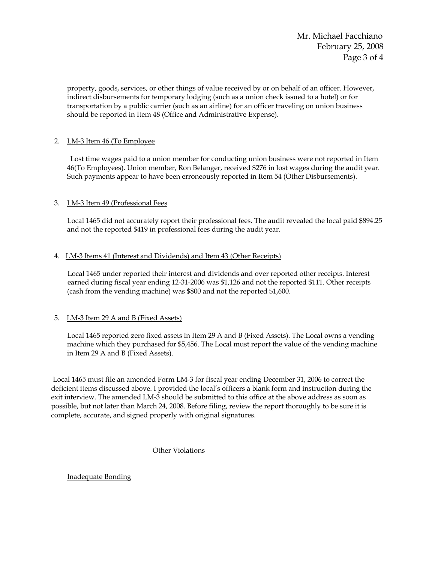Mr. Michael Facchiano February 25, 2008 Page 3 of 4

property, goods, services, or other things of value received by or on behalf of an officer. However, indirect disbursements for temporary lodging (such as a union check issued to a hotel) or for transportation by a public carrier (such as an airline) for an officer traveling on union business should be reported in Item 48 (Office and Administrative Expense).

## 2. LM-3 Item 46 (To Employee

Lost time wages paid to a union member for conducting union business were not reported in Item 46(To Employees). Union member, Ron Belanger, received \$276 in lost wages during the audit year. Such payments appear to have been erroneously reported in Item 54 (Other Disbursements).

# 3. LM-3 Item 49 (Professional Fees

Local 1465 did not accurately report their professional fees. The audit revealed the local paid \$894.25 and not the reported \$419 in professional fees during the audit year.

# 4. LM-3 Items 41 (Interest and Dividends) and Item 43 (Other Receipts)

 Local 1465 under reported their interest and dividends and over reported other receipts. Interest earned during fiscal year ending 12-31-2006 was \$1,126 and not the reported \$111. Other receipts (cash from the vending machine) was \$800 and not the reported \$1,600.

## 5. LM-3 Item 29 A and B (Fixed Assets)

Local 1465 reported zero fixed assets in Item 29 A and B (Fixed Assets). The Local owns a vending machine which they purchased for \$5,456. The Local must report the value of the vending machine in Item 29 A and B (Fixed Assets).

 Local 1465 must file an amended Form LM-3 for fiscal year ending December 31, 2006 to correct the deficient items discussed above. I provided the local's officers a blank form and instruction during the exit interview. The amended LM-3 should be submitted to this office at the above address as soon as possible, but not later than March 24, 2008. Before filing, review the report thoroughly to be sure it is complete, accurate, and signed properly with original signatures.

Other Violations

## Inadequate Bonding